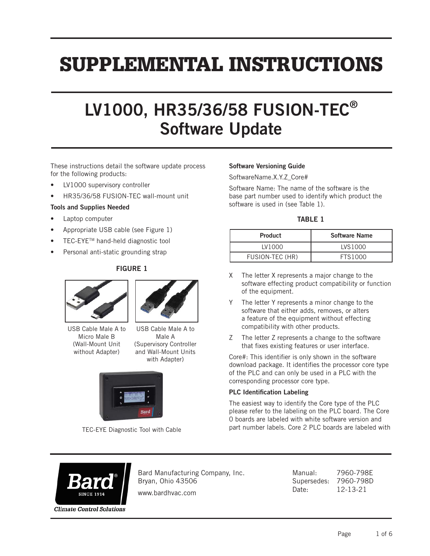# SUPPLEMENTAL INSTRUCTIONS

## LV1000, HR35/36/58 FUSION-TEC® Software Update

These instructions detail the software update process for the following products:

- LV1000 supervisory controller
- HR35/36/58 FUSION-TEC wall-mount unit

#### Tools and Supplies Needed

- Laptop computer
- Appropriate USB cable (see Figure 1)
- TEC-EYETM hand-held diagnostic tool
- Personal anti-static grounding strap

#### FIGURE 1





USB Cable Male A to Micro Male B (Wall-Mount Unit without Adapter)

USB Cable Male A to Male A (Supervisory Controller and Wall-Mount Units with Adapter)



TEC-EYE Diagnostic Tool with Cable

#### Software Versioning Guide

SoftwareName.X.Y.Z\_Core#

Software Name: The name of the software is the base part number used to identify which product the software is used in (see Table 1).

#### TABLE 1

| <b>Product</b>  | <b>Software Name</b> |  |  |
|-----------------|----------------------|--|--|
| LV1000          | <b>IVS1000</b>       |  |  |
| FUSION-TEC (HR) | FTS1000              |  |  |

- X The letter X represents a major change to the software effecting product compatibility or function of the equipment.
- Y The letter Y represents a minor change to the software that either adds, removes, or alters a feature of the equipment without effecting compatibility with other products.
- Z The letter Z represents a change to the software that fixes existing features or user interface.

Core#: This identifier is only shown in the software download package. It identifies the processor core type of the PLC and can only be used in a PLC with the corresponding processor core type.

#### PLC Identification Labeling

The easiest way to identify the Core type of the PLC please refer to the labeling on the PLC board. The Core 0 boards are labeled with white software version and part number labels. Core 2 PLC boards are labeled with



Bard Manufacturing Company, Inc. Bryan, Ohio 43506

www.bardhvac.com

Manual: 7960-798E Supersedes: 7960-798D Date: 12-13-21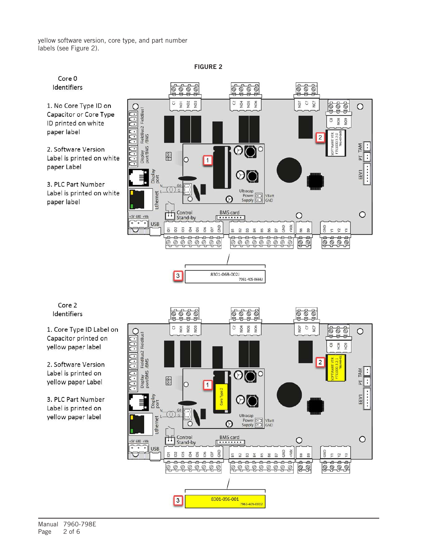yellow software version, core type, and part number labels (see Figure 2).



FIGURE 2

Core 2 Identifiers

1. Core Type ID Label on Capacitor printed on yellow paper label

2. Software Version Label is printed on yellow paper Label

3. PLC Part Number Label is printed on yellow paper label

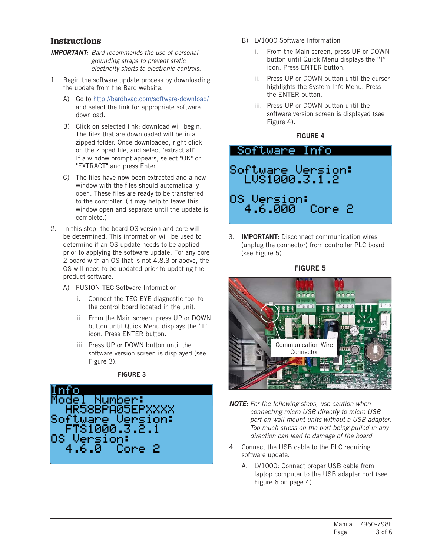#### **Instructions**

- *IMPORTANT: Bard recommends the use of personal grounding straps to prevent static electricity shorts to electronic controls.*
- 1. Begin the software update process by downloading the update from the Bard website.
	- A) Go to <http://bardhvac.com/software-download/> and select the link for appropriate software download.
	- B) Click on selected link; download will begin. The files that are downloaded will be in a zipped folder. Once downloaded, right click on the zipped file, and select "extract all". If a window prompt appears, select "OK" or "EXTRACT" and press Enter.
	- C) The files have now been extracted and a new window with the files should automatically open. These files are ready to be transferred to the controller. (It may help to leave this window open and separate until the update is complete.)
- 2. In this step, the board OS version and core will be determined. This information will be used to determine if an OS update needs to be applied prior to applying the software update. For any core 2 board with an OS that is not 4.8.3 or above, the OS will need to be updated prior to updating the product software.
	- A) FUSION-TEC Software Information
		- i. Connect the TEC-EYE diagnostic tool to the control board located in the unit.
		- ii. From the Main screen, press UP or DOWN button until Quick Menu displays the "I" icon. Press ENTER button.
		- iii. Press UP or DOWN button until the software version screen is displayed (see Figure 3).

#### FIGURE 3



- B) LV1000 Software Information
	- i. From the Main screen, press UP or DOWN button until Quick Menu displays the "I" icon. Press ENTER button.
	- ii. Press UP or DOWN button until the cursor highlights the System Info Menu. Press the ENTER button.
	- iii. Press UP or DOWN button until the software version screen is displayed (see Figure 4).

#### FIGURE 4

### Software Info Software Version:<br>LVS1000.3.1.2 0S Version:<br>- 4.6.000 Done 2

3. IMPORTANT: Disconnect communication wires (unplug the connector) from controller PLC board (see Figure 5).



- *NOTE: For the following steps, use caution when connecting micro USB directly to micro USB port on wall-mount units without a USB adapter. Too much stress on the port being pulled in any direction can lead to damage of the board.*
- 4. Connect the USB cable to the PLC requiring software update.
	- A. LV1000: Connect proper USB cable from laptop computer to the USB adapter port (see Figure 6 on page 4).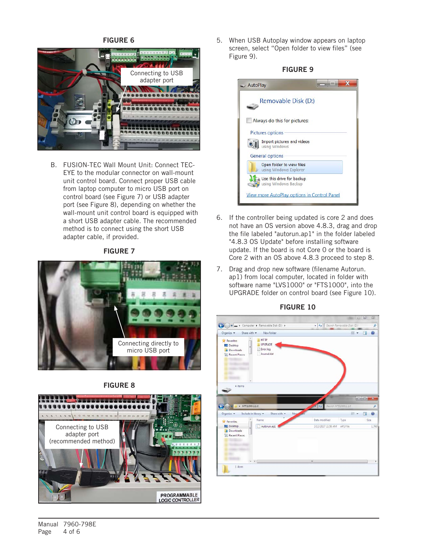#### FIGURE 6



B. FUSION-TEC Wall Mount Unit: Connect TEC-EYE to the modular connector on wall-mount unit control board. Connect proper USB cable from laptop computer to micro USB port on control board (see Figure 7) or USB adapter port (see Figure 8), depending on whether the wall-mount unit control board is equipped with a short USB adapter cable. The recommended method is to connect using the short USB adapter cable, if provided.

#### FIGURE 7



#### FIGURE 8



5. When USB Autoplay window appears on laptop screen, select "Open folder to view files" (see Figure 9).



- 6. If the controller being updated is core 2 and does not have an OS version above 4.8.3, drag and drop the file labeled "autorun.ap1" in the folder labeled "4.8.3 OS Update" before installing software update. If the board is not Core 0 or the board is Core 2 with an OS above 4.8.3 proceed to step 8.
- 7. Drag and drop new software (filename Autorun. ap1) from local computer, located in folder with software name "LVS1000" or "FTS1000", into the UPGRADE folder on control board (see Figure 10).



#### FIGURE 10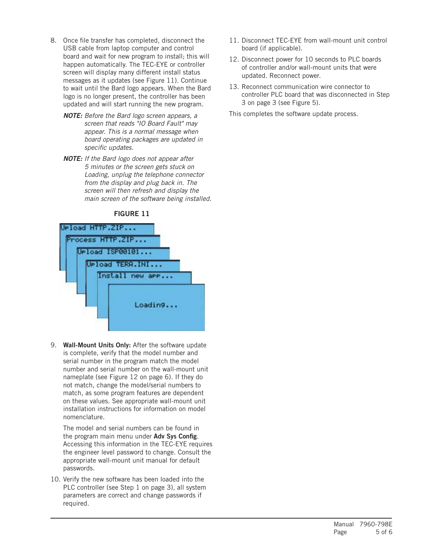- 8. Once file transfer has completed, disconnect the USB cable from laptop computer and control board and wait for new program to install; this will happen automatically. The TEC-EYE or controller screen will display many different install status messages as it updates (see Figure 11). Continue to wait until the Bard logo appears. When the Bard logo is no longer present, the controller has been updated and will start running the new program.
	- *NOTE: Before the Bard logo screen appears, a screen that reads "IO Board Fault" may appear. This is a normal message when board operating packages are updated in specific updates.*
	- *NOTE: If the Bard logo does not appear after 5 minutes or the screen gets stuck on Loading, unplug the telephone connector from the display and plug back in. The screen will then refresh and display the main screen of the software being installed.*



#### FIGURE 11

9. Wall-Mount Units Only: After the software update is complete, verify that the model number and serial number in the program match the model number and serial number on the wall-mount unit nameplate (see Figure 12 on page 6). If they do not match, change the model/serial numbers to match, as some program features are dependent on these values. See appropriate wall-mount unit installation instructions for information on model nomenclature.

The model and serial numbers can be found in the program main menu under Adv Sys Config. Accessing this information in the TEC-EYE requires the engineer level password to change. Consult the appropriate wall-mount unit manual for default passwords.

10. Verify the new software has been loaded into the PLC controller (see Step 1 on page 3), all system parameters are correct and change passwords if required.

- 11. Disconnect TEC-EYE from wall-mount unit control board (if applicable).
- 12. Disconnect power for 10 seconds to PLC boards of controller and/or wall-mount units that were updated. Reconnect power.
- 13. Reconnect communication wire connector to controller PLC board that was disconnected in Step 3 on page 3 (see Figure 5).

This completes the software update process.